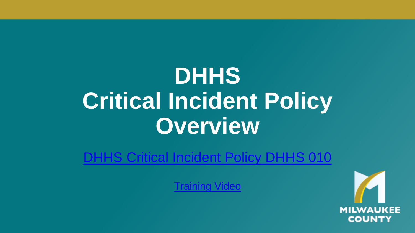# **DHHS Critical Incident Policy Overview**

[DHHS Critical Incident Policy DHHS 010](https://county.milwaukee.gov/files/county/DHHS/Providers/DHHSCriticalIncidentPolicy010122021.pdf)

[Training Video](https://www.youtube.com/watch?v=llgPp_YQQz8)

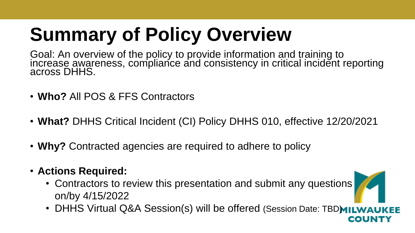# **Summary of Policy Overview**

Goal: An overview of the policy to provide information and training to increase awareness, compliance and consistency in critical incident reporting across DHHS.

- **Who?** All POS & FFS Contractors
- **What?** DHHS Critical Incident (CI) Policy DHHS 010, effective 12/20/2021
- **Why?** Contracted agencies are required to adhere to policy
- **Actions Required:** 
	- Contractors to review this presentation and submit any questions on/by 4/15/2022
	- DHHS Virtual Q&A Session(s) will be offered (Session Date: TBDMILWAI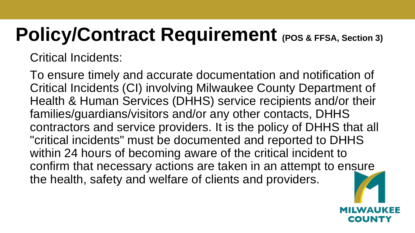# **Policy/Contract Requirement** (POS & FFSA, Section 3)

Critical Incidents:

To ensure timely and accurate documentation and notification of Critical Incidents (CI) involving Milwaukee County Department of Health & Human Services (DHHS) service recipients and/or their families/guardians/visitors and/or any other contacts, DHHS contractors and service providers. It is the policy of DHHS that all "critical incidents" must be documented and reported to DHHS within 24 hours of becoming aware of the critical incident to confirm that necessary actions are taken in an attempt to ensure the health, safety and welfare of clients and providers.

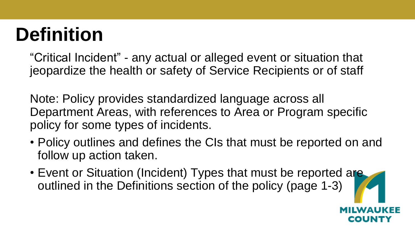# **Definition**

"Critical Incident" - any actual or alleged event or situation that jeopardize the health or safety of Service Recipients or of staff

Note: Policy provides standardized language across all Department Areas, with references to Area or Program specific policy for some types of incidents.

- Policy outlines and defines the CIs that must be reported on and follow up action taken.
- Event or Situation (Incident) Types that must be reported are outlined in the Definitions section of the policy (page 1-3)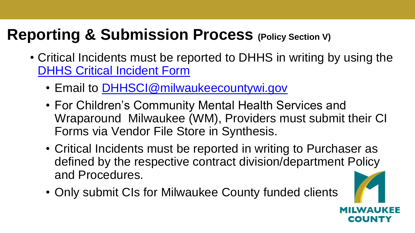## **Reporting & Submission Process (Policy Section V)**

- Critical Incidents must be reported to DHHS in writing by using the [DHHS Critical Incident Form](https://county.milwaukee.gov/files/county/DHHS/Providers/DHHSCIFORM1220212.pdf)
	- Email to [DHHSCI@milwaukeecountywi.gov](mailto:DHHSCI@milwaukeecountywi.gov)
	- For Children's Community Mental Health Services and Wraparound Milwaukee (WM), Providers must submit their CI Forms via Vendor File Store in Synthesis.
	- Critical Incidents must be reported in writing to Purchaser as defined by the respective contract division/department Policy and Procedures.
	- Only submit CIs for Milwaukee County funded clients

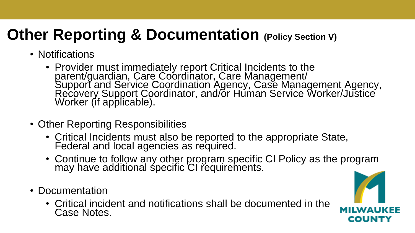## **Other Reporting & Documentation (Policy Section V)**

- Notifications
	- Provider must immediately report Critical Incidents to the parent/guardian, Care Coordinator, Care Management/ Support and Service Coordination Agency, Case Management Agency, Recovery Support Coordinator, and/or Human Service Worker/Justice Worker (if applicable).
- Other Reporting Responsibilities
	- Critical Incidents must also be reported to the appropriate State, Federal and local agencies as required.
	- Continue to follow any other program specific CI Policy as the program may have additional specific CI requirements.
- Documentation
	- Critical incident and notifications shall be documented in the Case Notes.

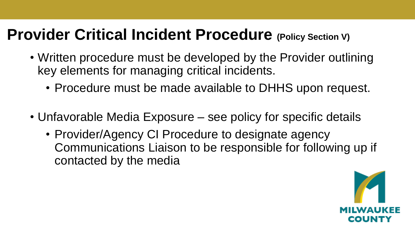## **Provider Critical Incident Procedure (Policy Section V)**

- Written procedure must be developed by the Provider outlining key elements for managing critical incidents.
	- Procedure must be made available to DHHS upon request.
- Unfavorable Media Exposure see policy for specific details
	- Provider/Agency CI Procedure to designate agency Communications Liaison to be responsible for following up if contacted by the media

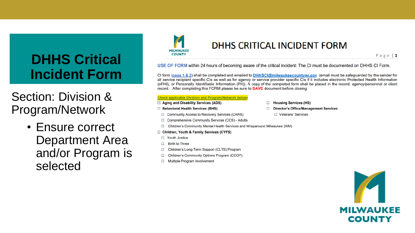## **DHHS Critical Incident Form**

Section: Division & Program/Network

> • Ensure correct **Department Area** and/or Program is selected



### DHHS CRITICAL INCIDENT FORM

Page  $|1$ 

USE OF FORM within 24 hours of becoming aware of the critical incident: The CI must be documented on DHHS CI Form.

CI form (page 1 & 2) shall be completed and emailed to DHHSCI@milwaukeecountywi.gov (email must be safeguarded by the sender for all service recipient specific CIs as well as for agency or service provider specific CIs if it includes electronic Protected Health Information (ePHI), or Personally Identifiable Information (PII)). A copy of the completed form shall be placed in the record; agency/personnel or client record. After completing this FORM please be sure to **SAVE** document before closing.

#### **Check applicable Division and Program/Network below**

- Aging and Disability Services (ADS)
- Behavioral Health Services (BHS)
- □ Community Access to Recovery Services (CARS)
- □ Comprehensive Community Services (CCS) Adults
- Children's Community Mental Health Services and Wraparound Milwaukee (WM)  $\Box$
- □ Children, Youth & Family Services (CYFS)
- $\Box$ **Youth Justice**
- **Birth to Three**  $\Box$
- Children's Long-Term Support (CLTS) Program  $\Box$
- $\Box$ Children's Community Options Program (CCOP)
- $\Box$ **Multiple Program Involvement**
- □ Housing Services (HS)
- □ Director's Office/Management Services
	- □ Veterans' Services

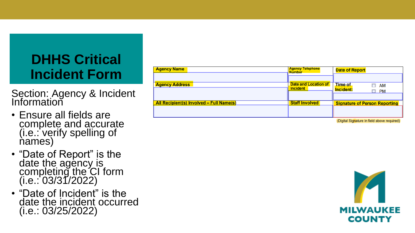## **DHHS Critical Incident Form**

Section: Agency & Incident **Information** 

- Ensure all fields are complete and accurate (i.e.: verify spelling of names)
- "Date of Report" is the date the agency is completing the CI form (i.e.: 03/31/2022)
- "Date of Incident" is the date the incident occurred (i.e.: 03/25/2022)

| <b>Agency Name</b>                       | <b>Agency Telephone</b><br><b>Number</b>       | <b>Date of Report</b>                                                                                                                                                                                                                |
|------------------------------------------|------------------------------------------------|--------------------------------------------------------------------------------------------------------------------------------------------------------------------------------------------------------------------------------------|
|                                          |                                                |                                                                                                                                                                                                                                      |
| <b>Agency Address</b>                    | <b>Date and Location of</b><br><b>Incident</b> | Time of<br>AM<br>Incident:<br><b>PM</b>                                                                                                                                                                                              |
| All Recipient(s) Involved - Full Name(s) | <b>Staff Involved</b>                          |                                                                                                                                                                                                                                      |
|                                          |                                                | <b>Signature of Person Reporting</b>                                                                                                                                                                                                 |
|                                          |                                                | <b>CONTRACTOR CONTRACTOR AND ACCOUNT AND ACCOUNT AND ACCOUNT AND ACCOUNT AND ACCOUNT AND ACCOUNT AND ACCOUNT AND ACCOUNT AND ACCOUNT AND ACCOUNT ACCOUNT AND ACCOUNT AND ACCOUNT ACCOUNT ACCOUNT ACCOUNT ACCOUNT ACCOUNT ACCOUNT</b> |

Digital Signature in field above required

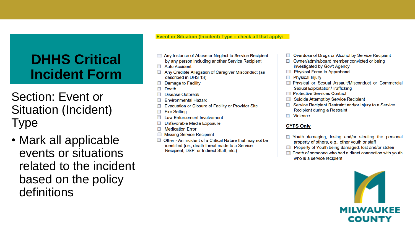## **DHHS Critical Incident Form**

Section: Event or Situation (Incident) **Type** 

• Mark all applicable events or situations related to the incident based on the policy definitions

Event or Situation (Incident) Type - check all that apply:

- Any Instance of Abuse or Neglect to Service Recipient by any person including another Service Recipient
- $\Box$  Auto Accident
- Any Credible Allegation of Caregiver Misconduct (as described in DHS 13)
- Damage to Facility
- $\Box$  Death
- **Disease Outbreak**
- **Environmental Hazard**
- Evacuation or Closure of Facility or Provider Site
- $\Box$  Fire Setting
- **Law Enforcement Involvement** п
- Unfavorable Media Exposure
- $\Box$  Medication Error
- **Missing Service Recipient**
- □ Other An Incident of a Critical Nature that may not be identified (i.e., death threat made to a Service Recipient, DSP, or Indirect Staff, etc.)
- □ Overdose of Drugs or Alcohol by Service Recipient
- $\Box$  Owner/admin/board member convicted or being investigated by Gov't Agency
- **Ell** Physical Force to Apprehend
- **Physical Injury** П
- **Physical or Sexual Assault/Misconduct or Commercial Sexual Exploitation/Trafficking**
- □ Protective Services Contact
- **Suicide Attempt by Service Recipient** n
- Service Recipient Restraint and/or Injury to a Service Recipient during a Restraint
- $\Box$  Violence

#### **CYFS Only**

- $\Box$  Youth damaging, losing and/or stealing the personal property of others, e.g., other youth or staff
- □ Property of Youth being damaged, lost and/or stolen
- Death of someone who had a direct connection with youth who is a service recipient

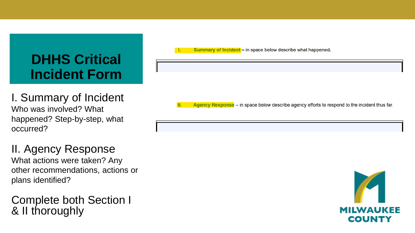## **DHHS Critical Incident Form**

I. Summary of Incident Who was involved? What happened? Step-by-step, what occurred?

II. Agency Response What actions were taken? Any other recommendations, actions or plans identified?

### Complete both Section I & II thoroughly

Summary of Incident - in space below describe what happened.

Agency Response – in space below describe agency efforts to respond to the incident thus far.

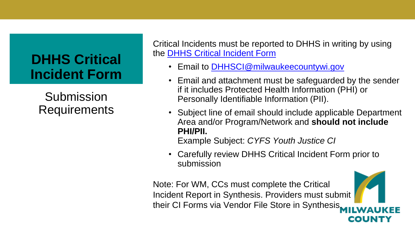## **DHHS Critical Incident Form**

Submission Requirements

Critical Incidents must be reported to DHHS in writing by using the [DHHS Critical Incident Form](https://county.milwaukee.gov/files/county/DHHS/Providers/DHHSCIFORM1220212.pdf)

- Email to **DHHSCI@milwaukeecountywi.gov**
- Email and attachment must be safeguarded by the sender if it includes Protected Health Information (PHI) or Personally Identifiable Information (PII).
- Subject line of email should include applicable Department Area and/or Program/Network and **should not include PHI/PII.**

Example Subject: *CYFS Youth Justice CI*

• Carefully review DHHS Critical Incident Form prior to submission

Note: For WM, CCs must complete the Critical Incident Report in Synthesis. Providers must submit their CI Forms via Vendor File Store in Synthesis.COUNT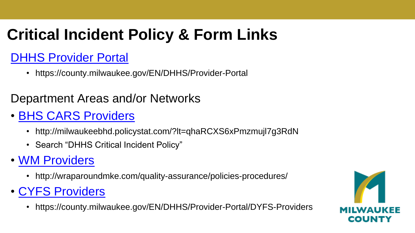## **Critical Incident Policy & Form Links**

## [DHHS Provider Portal](https://county.milwaukee.gov/EN/DHHS/Provider-Portal)

• https://county.milwaukee.gov/EN/DHHS/Provider-Portal

### Department Areas and/or Networks

## • [BHS CARS Providers](http://milwaukeebhd.policystat.com/?lt=qhaRCXS6xPmzmujl7g3RdN)

- http://milwaukeebhd.policystat.com/?lt=qhaRCXS6xPmzmujl7g3RdN
- Search "DHHS Critical Incident Policy"

### • [WM Providers](http://wraparoundmke.com/quality-assurance/policies-procedures/)

- http://wraparoundmke.com/quality-assurance/policies-procedures/
- [CYFS Providers](https://county.milwaukee.gov/EN/DHHS/Provider-Portal/DYFS-Providers)
	- https://county.milwaukee.gov/EN/DHHS/Provider-Portal/DYFS-Providers

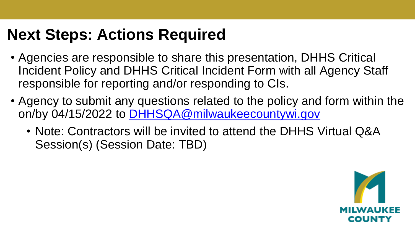## **Next Steps: Actions Required**

- Agencies are responsible to share this presentation, DHHS Critical Incident Policy and DHHS Critical Incident Form with all Agency Staff responsible for reporting and/or responding to CIs.
- Agency to submit any questions related to the policy and form within the on/by 04/15/2022 to [DHHSQA@milwaukeecountywi.gov](mailto:DHHSQA@milwaukeecountywi.gov)
	- Note: Contractors will be invited to attend the DHHS Virtual Q&A Session(s) (Session Date: TBD)